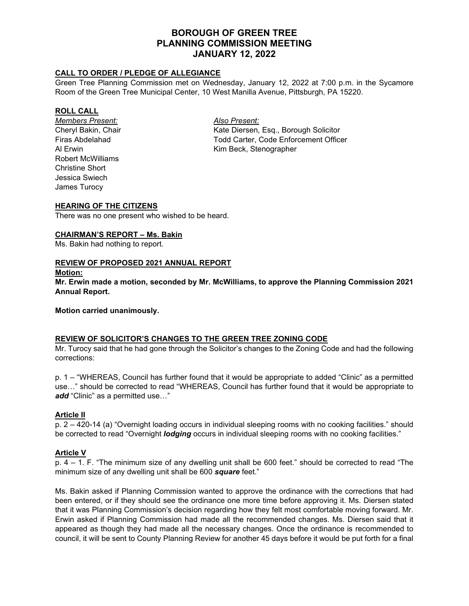# **BOROUGH OF GREEN TREE PLANNING COMMISSION MEETING JANUARY 12, 2022**

### **CALL TO ORDER / PLEDGE OF ALLEGIANCE**

Green Tree Planning Commission met on Wednesday, January 12, 2022 at 7:00 p.m. in the Sycamore Room of the Green Tree Municipal Center, 10 West Manilla Avenue, Pittsburgh, PA 15220.

#### **ROLL CALL**

*Members Present: Also Present:* Robert McWilliams Christine Short Jessica Swiech James Turocy

Cheryl Bakin, Chair **Kate Diersen, Esq., Borough Solicitor** Kate Diersen, Esq., Borough Solicitor Firas Abdelahad Todd Carter, Code Enforcement Officer Al Erwin **All Erwin** Kim Beck, Stenographer

#### **HEARING OF THE CITIZENS**

There was no one present who wished to be heard.

#### **CHAIRMAN'S REPORT – Ms. Bakin**

Ms. Bakin had nothing to report.

#### **REVIEW OF PROPOSED 2021 ANNUAL REPORT**

#### **Motion:**

**Mr. Erwin made a motion, seconded by Mr. McWilliams, to approve the Planning Commission 2021 Annual Report.**

**Motion carried unanimously.**

#### **REVIEW OF SOLICITOR'S CHANGES TO THE GREEN TREE ZONING CODE**

Mr. Turocy said that he had gone through the Solicitor's changes to the Zoning Code and had the following corrections:

p. 1 – "WHEREAS, Council has further found that it would be appropriate to added "Clinic" as a permitted use…" should be corrected to read "WHEREAS, Council has further found that it would be appropriate to *add* "Clinic" as a permitted use…"

#### **Article II**

p. 2 – 420-14 (a) "Overnight loading occurs in individual sleeping rooms with no cooking facilities." should be corrected to read "Overnight *lodging* occurs in individual sleeping rooms with no cooking facilities."

#### **Article V**

p. 4 – 1. F. "The minimum size of any dwelling unit shall be 600 feet." should be corrected to read "The minimum size of any dwelling unit shall be 600 *square* feet."

Ms. Bakin asked if Planning Commission wanted to approve the ordinance with the corrections that had been entered, or if they should see the ordinance one more time before approving it. Ms. Diersen stated that it was Planning Commission's decision regarding how they felt most comfortable moving forward. Mr. Erwin asked if Planning Commission had made all the recommended changes. Ms. Diersen said that it appeared as though they had made all the necessary changes. Once the ordinance is recommended to council, it will be sent to County Planning Review for another 45 days before it would be put forth for a final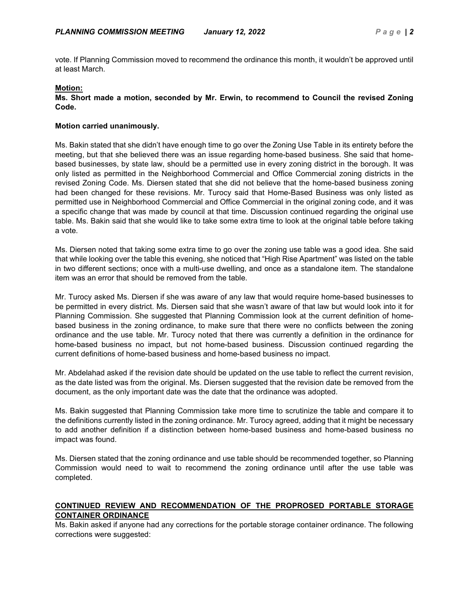vote. If Planning Commission moved to recommend the ordinance this month, it wouldn't be approved until at least March.

# **Motion:**

#### **Ms. Short made a motion, seconded by Mr. Erwin, to recommend to Council the revised Zoning Code.**

# **Motion carried unanimously.**

Ms. Bakin stated that she didn't have enough time to go over the Zoning Use Table in its entirety before the meeting, but that she believed there was an issue regarding home-based business. She said that homebased businesses, by state law, should be a permitted use in every zoning district in the borough. It was only listed as permitted in the Neighborhood Commercial and Office Commercial zoning districts in the revised Zoning Code. Ms. Diersen stated that she did not believe that the home-based business zoning had been changed for these revisions. Mr. Turocy said that Home-Based Business was only listed as permitted use in Neighborhood Commercial and Office Commercial in the original zoning code, and it was a specific change that was made by council at that time. Discussion continued regarding the original use table. Ms. Bakin said that she would like to take some extra time to look at the original table before taking a vote.

Ms. Diersen noted that taking some extra time to go over the zoning use table was a good idea. She said that while looking over the table this evening, she noticed that "High Rise Apartment" was listed on the table in two different sections; once with a multi-use dwelling, and once as a standalone item. The standalone item was an error that should be removed from the table.

Mr. Turocy asked Ms. Diersen if she was aware of any law that would require home-based businesses to be permitted in every district. Ms. Diersen said that she wasn't aware of that law but would look into it for Planning Commission. She suggested that Planning Commission look at the current definition of homebased business in the zoning ordinance, to make sure that there were no conflicts between the zoning ordinance and the use table. Mr. Turocy noted that there was currently a definition in the ordinance for home-based business no impact, but not home-based business. Discussion continued regarding the current definitions of home-based business and home-based business no impact.

Mr. Abdelahad asked if the revision date should be updated on the use table to reflect the current revision, as the date listed was from the original. Ms. Diersen suggested that the revision date be removed from the document, as the only important date was the date that the ordinance was adopted.

Ms. Bakin suggested that Planning Commission take more time to scrutinize the table and compare it to the definitions currently listed in the zoning ordinance. Mr. Turocy agreed, adding that it might be necessary to add another definition if a distinction between home-based business and home-based business no impact was found.

Ms. Diersen stated that the zoning ordinance and use table should be recommended together, so Planning Commission would need to wait to recommend the zoning ordinance until after the use table was completed.

# **CONTINUED REVIEW AND RECOMMENDATION OF THE PROPROSED PORTABLE STORAGE CONTAINER ORDINANCE**

Ms. Bakin asked if anyone had any corrections for the portable storage container ordinance. The following corrections were suggested: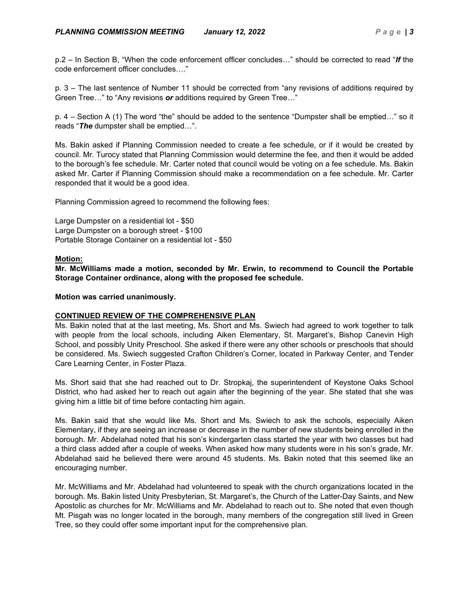p.2 – In Section B, "When the code enforcement officer concludes…" should be corrected to read "*If* the code enforcement officer concludes…."

p. 3 – The last sentence of Number 11 should be corrected from "any revisions of additions required by Green Tree…" to "Any revisions *or* additions required by Green Tree…"

p. 4 – Section A (1) The word "the" should be added to the sentence "Dumpster shall be emptied…" so it reads "*The* dumpster shall be emptied…".

Ms. Bakin asked if Planning Commission needed to create a fee schedule, or if it would be created by council. Mr. Turocy stated that Planning Commission would determine the fee, and then it would be added to the borough's fee schedule. Mr. Carter noted that council would be voting on a fee schedule. Ms. Bakin asked Mr. Carter if Planning Commission should make a recommendation on a fee schedule. Mr. Carter responded that it would be a good idea.

Planning Commission agreed to recommend the following fees:

Large Dumpster on a residential lot - \$50 Large Dumpster on a borough street - \$100 Portable Storage Container on a residential lot - \$50

### **Motion:**

**Mr. McWilliams made a motion, seconded by Mr. Erwin, to recommend to Council the Portable Storage Container ordinance, along with the proposed fee schedule.**

### **Motion was carried unanimously.**

# **CONTINUED REVIEW OF THE COMPREHENSIVE PLAN**

Ms. Bakin noted that at the last meeting, Ms. Short and Ms. Swiech had agreed to work together to talk with people from the local schools, including Aiken Elementary, St. Margaret's, Bishop Canevin High School, and possibly Unity Preschool. She asked if there were any other schools or preschools that should be considered. Ms. Swiech suggested Crafton Children's Corner, located in Parkway Center, and Tender Care Learning Center, in Foster Plaza.

Ms. Short said that she had reached out to Dr. Stropkaj, the superintendent of Keystone Oaks School District, who had asked her to reach out again after the beginning of the year. She stated that she was giving him a little bit of time before contacting him again.

Ms. Bakin said that she would like Ms. Short and Ms. Swiech to ask the schools, especially Aiken Elementary, if they are seeing an increase or decrease in the number of new students being enrolled in the borough. Mr. Abdelahad noted that his son's kindergarten class started the year with two classes but had a third class added after a couple of weeks. When asked how many students were in his son's grade, Mr. Abdelahad said he believed there were around 45 students. Ms. Bakin noted that this seemed like an encouraging number.

Mr. McWilliams and Mr. Abdelahad had volunteered to speak with the church organizations located in the borough. Ms. Bakin listed Unity Presbyterian, St. Margaret's, the Church of the Latter-Day Saints, and New Apostolic as churches for Mr. McWilliams and Mr. Abdelahad to reach out to. She noted that even though Mt. Pisgah was no longer located in the borough, many members of the congregation still lived in Green Tree, so they could offer some important input for the comprehensive plan.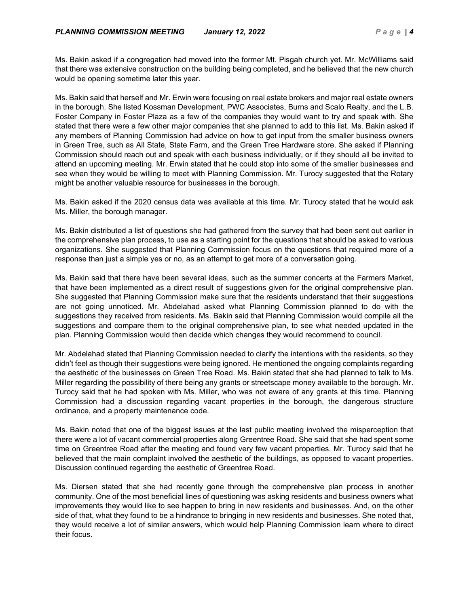Ms. Bakin asked if a congregation had moved into the former Mt. Pisgah church yet. Mr. McWilliams said that there was extensive construction on the building being completed, and he believed that the new church would be opening sometime later this year.

Ms. Bakin said that herself and Mr. Erwin were focusing on real estate brokers and major real estate owners in the borough. She listed Kossman Development, PWC Associates, Burns and Scalo Realty, and the L.B. Foster Company in Foster Plaza as a few of the companies they would want to try and speak with. She stated that there were a few other major companies that she planned to add to this list. Ms. Bakin asked if any members of Planning Commission had advice on how to get input from the smaller business owners in Green Tree, such as All State, State Farm, and the Green Tree Hardware store. She asked if Planning Commission should reach out and speak with each business individually, or if they should all be invited to attend an upcoming meeting. Mr. Erwin stated that he could stop into some of the smaller businesses and see when they would be willing to meet with Planning Commission. Mr. Turocy suggested that the Rotary might be another valuable resource for businesses in the borough.

Ms. Bakin asked if the 2020 census data was available at this time. Mr. Turocy stated that he would ask Ms. Miller, the borough manager.

Ms. Bakin distributed a list of questions she had gathered from the survey that had been sent out earlier in the comprehensive plan process, to use as a starting point for the questions that should be asked to various organizations. She suggested that Planning Commission focus on the questions that required more of a response than just a simple yes or no, as an attempt to get more of a conversation going.

Ms. Bakin said that there have been several ideas, such as the summer concerts at the Farmers Market, that have been implemented as a direct result of suggestions given for the original comprehensive plan. She suggested that Planning Commission make sure that the residents understand that their suggestions are not going unnoticed. Mr. Abdelahad asked what Planning Commission planned to do with the suggestions they received from residents. Ms. Bakin said that Planning Commission would compile all the suggestions and compare them to the original comprehensive plan, to see what needed updated in the plan. Planning Commission would then decide which changes they would recommend to council.

Mr. Abdelahad stated that Planning Commission needed to clarify the intentions with the residents, so they didn't feel as though their suggestions were being ignored. He mentioned the ongoing complaints regarding the aesthetic of the businesses on Green Tree Road. Ms. Bakin stated that she had planned to talk to Ms. Miller regarding the possibility of there being any grants or streetscape money available to the borough. Mr. Turocy said that he had spoken with Ms. Miller, who was not aware of any grants at this time. Planning Commission had a discussion regarding vacant properties in the borough, the dangerous structure ordinance, and a property maintenance code.

Ms. Bakin noted that one of the biggest issues at the last public meeting involved the misperception that there were a lot of vacant commercial properties along Greentree Road. She said that she had spent some time on Greentree Road after the meeting and found very few vacant properties. Mr. Turocy said that he believed that the main complaint involved the aesthetic of the buildings, as opposed to vacant properties. Discussion continued regarding the aesthetic of Greentree Road.

Ms. Diersen stated that she had recently gone through the comprehensive plan process in another community. One of the most beneficial lines of questioning was asking residents and business owners what improvements they would like to see happen to bring in new residents and businesses. And, on the other side of that, what they found to be a hindrance to bringing in new residents and businesses. She noted that, they would receive a lot of similar answers, which would help Planning Commission learn where to direct their focus.